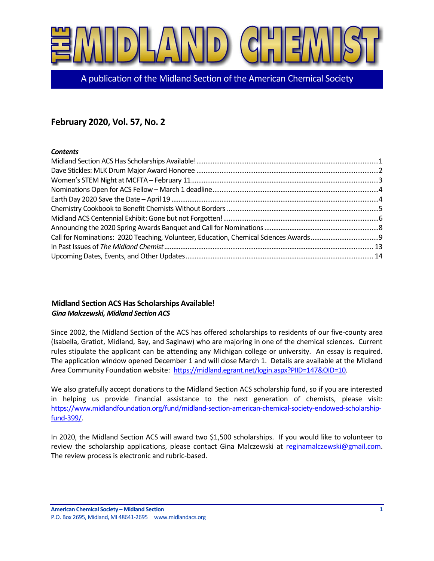

A publication of the Midland Section of the American Chemical Society

# **February 2020, Vol. 57, No. 2**

## *Contents*

# <span id="page-0-0"></span>**Midland Section ACS Has Scholarships Available!** *Gina Malczewski, Midland Section ACS*

Since 2002, the Midland Section of the ACS has offered scholarships to residents of our five-county area (Isabella, Gratiot, Midland, Bay, and Saginaw) who are majoring in one of the chemical sciences. Current rules stipulate the applicant can be attending any Michigan college or university. An essay is required. The application window opened December 1 and will close March 1. Details are available at the Midland Area Community Foundation website: [https://midland.egrant.net/login.aspx?PIID=147&OID=10.](https://midland.egrant.net/login.aspx?PIID=147&OID=10)

We also gratefully accept donations to the Midland Section ACS scholarship fund, so if you are interested in helping us provide financial assistance to the next generation of chemists, please visit: [https://www.midlandfoundation.org/fund/midland-section-american-chemical-society-endowed-scholarship](https://www.midlandfoundation.org/fund/midland-section-american-chemical-society-endowed-scholarship-fund-399/)[fund-399/.](https://www.midlandfoundation.org/fund/midland-section-american-chemical-society-endowed-scholarship-fund-399/)

In 2020, the Midland Section ACS will award two \$1,500 scholarships. If you would like to volunteer to review the scholarship applications, please contact Gina Malczewski at [reginamalczewski@gmail.com.](mailto:reginamalczewski@gmail.com) The review process is electronic and rubric-based.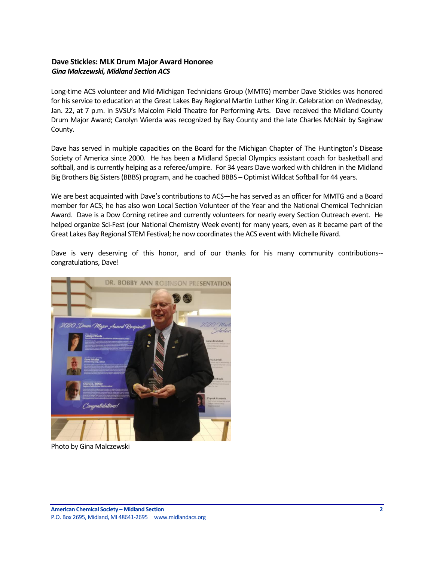## <span id="page-1-0"></span>**Dave Stickles: MLK Drum Major Award Honoree** *Gina Malczewski, Midland Section ACS*

Long-time ACS volunteer and Mid-Michigan Technicians Group (MMTG) member Dave Stickles was honored for his service to education at the Great Lakes Bay Regional Martin Luther King Jr. Celebration on Wednesday, Jan. 22, at 7 p.m. in SVSU's Malcolm Field Theatre for Performing Arts. Dave received the Midland County Drum Major Award; Carolyn Wierda was recognized by Bay County and the late Charles McNair by Saginaw County.

Dave has served in multiple capacities on the Board for the Michigan Chapter of The Huntington's Disease Society of America since 2000. He has been a Midland Special Olympics assistant coach for basketball and softball, and is currently helping as a referee/umpire. For 34 years Dave worked with children in the Midland Big Brothers Big Sisters (BBBS) program, and he coached BBBS – Optimist Wildcat Softball for 44 years.

We are best acquainted with Dave's contributions to ACS—he has served as an officer for MMTG and a Board member for ACS; he has also won Local Section Volunteer of the Year and the National Chemical Technician Award. Dave is a Dow Corning retiree and currently volunteers for nearly every Section Outreach event. He helped organize Sci-Fest (our National Chemistry Week event) for many years, even as it became part of the Great Lakes Bay Regional STEM Festival; he now coordinates the ACS event with Michelle Rivard.

Dave is very deserving of this honor, and of our thanks for his many community contributions- congratulations, Dave!



Photo by Gina Malczewski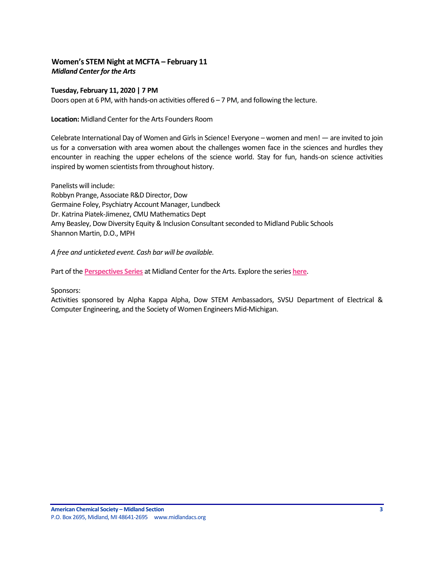# <span id="page-2-0"></span>**Women's STEM Night at MCFTA – February 11** *Midland Center for the Arts*

## **Tuesday, February 11, 2020 | 7 PM**

Doors open at 6 PM, with hands-on activities offered 6 – 7 PM, and following the lecture.

**Location:** Midland Center for the Arts Founders Room

Celebrate International Day of Women and Girls in Science! Everyone – women and men! — are invited to join us for a conversation with area women about the challenges women face in the sciences and hurdles they encounter in reaching the upper echelons of the science world. Stay for fun, hands-on science activities inspired by women scientists from throughout history.

Panelists will include: Robbyn Prange, Associate R&D Director, Dow Germaine Foley, Psychiatry Account Manager, Lundbeck Dr. Katrina Piatek-Jimenez, CMU Mathematics Dept Amy Beasley, Dow Diversity Equity & Inclusion Consultant seconded to Midland Public Schools Shannon Martin, D.O., MPH

*A free and unticketed event. Cash bar will be available.*

Part of the **[Perspectives Series](https://www.mcfta.org/perspectives1920/)** at Midland Center for the Arts. Explore the series **[here](https://www.mcfta.org/perspectives1920/)**.

Sponsors:

Activities sponsored by Alpha Kappa Alpha, Dow STEM Ambassadors, SVSU Department of Electrical & Computer Engineering, and the Society of Women Engineers Mid-Michigan.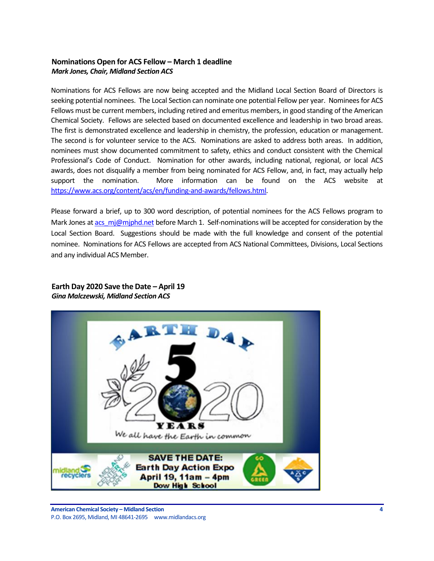# <span id="page-3-0"></span>**Nominations Open for ACS Fellow – March 1 deadline** *Mark Jones, Chair, Midland Section ACS*

Nominations for ACS Fellows are now being accepted and the Midland Local Section Board of Directors is seeking potential nominees. The Local Section can nominate one potential Fellow per year. Nominees for ACS Fellows must be current members, including retired and emeritus members, in good standing of the American Chemical Society. Fellows are selected based on documented excellence and leadership in two broad areas. The first is demonstrated excellence and leadership in chemistry, the profession, education or management. The second is for volunteer service to the ACS. Nominations are asked to address both areas. In addition, nominees must show documented commitment to safety, ethics and conduct consistent with the Chemical Professional's Code of Conduct. Nomination for other awards, including national, regional, or local ACS awards, does not disqualify a member from being nominated for ACS Fellow, and, in fact, may actually help support the nomination. More information can be found on the ACS website at [https://www.acs.org/content/acs/en/funding-and-awards/fellows.html.](https://www.acs.org/content/acs/en/funding-and-awards/fellows.html)

Please forward a brief, up to 300 word description, of potential nominees for the ACS Fellows program to Mark Jones a[t acs\\_mj@mjphd.net](mailto:acs_mj@mjphd.net) before March 1. Self-nominations will be accepted for consideration by the Local Section Board. Suggestions should be made with the full knowledge and consent of the potential nominee. Nominations for ACS Fellows are accepted from ACS National Committees, Divisions, Local Sections and any individual ACS Member.

# <span id="page-3-1"></span>**Earth Day 2020 Save the Date – April 19** *Gina Malczewski, Midland Section ACS*

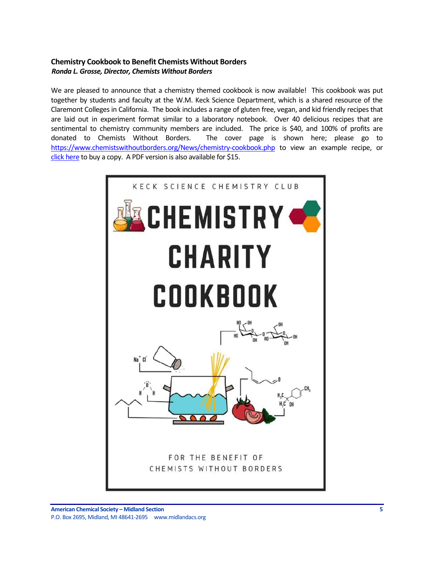# <span id="page-4-0"></span>**Chemistry Cookbook to Benefit Chemists Without Borders** *Ronda L. Grosse, Director, Chemists Without Borders*

We are pleased to announce that a chemistry themed cookbook is now available! This cookbook was put together by students and faculty at the W.M. Keck Science Department, which is a shared resource of the Claremont Colleges in California. The book includes a range of gluten free, vegan, and kid friendly recipes that are laid out in experiment format similar to a laboratory notebook. Over 40 delicious recipes that are sentimental to chemistry community members are included. The price is \$40, and 100% of profits are donated to Chemists Without Borders. The cover page is shown here; please go to [https://www.chemistswithoutborders.org/News/chemistry-cookbook.php](https://nam04.safelinks.protection.outlook.com/?url=https%3A%2F%2Fwww.chemistswithoutborders.org%2FNews%2Fchemistry-cookbook.php&data=02%7C01%7CVLLanger%40dow.com%7C3778d450cf7f4965d80608d7a04d0a0f%7Cc3e32f53cb7f4809968d1cc4ccc785fe%7C0%7C1%7C637154125063073458&sdata=WBXjf6%2BNqNkdbF%2BYguSlJ5xTkf8SJ%2BaeGonj%2Bp%2BhJcY%3D&reserved=0) to view an example recipe, or click [here](https://nam04.safelinks.protection.outlook.com/?url=https%3A%2F%2Fwww.facebook.com%2Fmarketplace%2Fitem%2F458903964770689%2F&data=02%7C01%7CVLLanger%40dow.com%7C3778d450cf7f4965d80608d7a04d0a0f%7Cc3e32f53cb7f4809968d1cc4ccc785fe%7C0%7C1%7C637154125063083449&sdata=wPBWwYYMhk2njTNNBDri9zskbY5z%2BInOGIpjXu9F2Hg%3D&reserved=0) to buy a copy. A PDF version is also available for \$15.

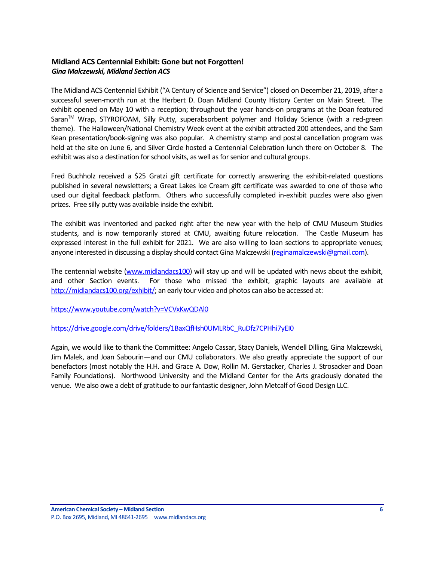# <span id="page-5-0"></span>**Midland ACS Centennial Exhibit: Gone but not Forgotten!** *Gina Malczewski, Midland Section ACS*

The Midland ACS Centennial Exhibit ("A Century of Science and Service") closed on December 21, 2019, after a successful seven-month run at the Herbert D. Doan Midland County History Center on Main Street. The exhibit opened on May 10 with a reception; throughout the year hands-on programs at the Doan featured Saran™ Wrap, STYROFOAM, Silly Putty, superabsorbent polymer and Holiday Science (with a red-green theme). The Halloween/National Chemistry Week event at the exhibit attracted 200 attendees, and the Sam Kean presentation/book-signing was also popular. A chemistry stamp and postal cancellation program was held at the site on June 6, and Silver Circle hosted a Centennial Celebration lunch there on October 8. The exhibit was also a destination for school visits, as well as for senior and cultural groups.

Fred Buchholz received a \$25 Gratzi gift certificate for correctly answering the exhibit-related questions published in several newsletters; a Great Lakes Ice Cream gift certificate was awarded to one of those who used our digital feedback platform. Others who successfully completed in-exhibit puzzles were also given prizes. Free silly putty was available inside the exhibit.

The exhibit was inventoried and packed right after the new year with the help of CMU Museum Studies students, and is now temporarily stored at CMU, awaiting future relocation. The Castle Museum has expressed interest in the full exhibit for 2021. We are also willing to loan sections to appropriate venues; anyone interested in discussing a display should contact Gina Malczewski [\(reginamalczewski@gmail.com\)](mailto:reginamalczewski@gmail.com).

The centennial website [\(www.midlandacs100\)](http://www.midlandacs100/) will stay up and will be updated with news about the exhibit, and other Section events. For those who missed the exhibit, graphic layouts are available at [http://midlandacs100.org/exhibit/;](http://midlandacs100.org/exhibit/) an early tour video and photos can also be accessed at:

<https://www.youtube.com/watch?v=VCVxKwQDAl0>

[https://drive.google.com/drive/folders/1BaxQfHsh0UMLRbC\\_RuDfz7CPHhi7yEI0](https://drive.google.com/drive/folders/1BaxQfHsh0UMLRbC_RuDfz7CPHhi7yEI0)

Again, we would like to thank the Committee: Angelo Cassar, Stacy Daniels, Wendell Dilling, Gina Malczewski, Jim Malek, and Joan Sabourin—and our CMU collaborators. We also greatly appreciate the support of our benefactors (most notably the H.H. and Grace A. Dow, Rollin M. Gerstacker, Charles J. Strosacker and Doan Family Foundations). Northwood University and the Midland Center for the Arts graciously donated the venue. We also owe a debt of gratitude to our fantastic designer, John Metcalf of Good Design LLC.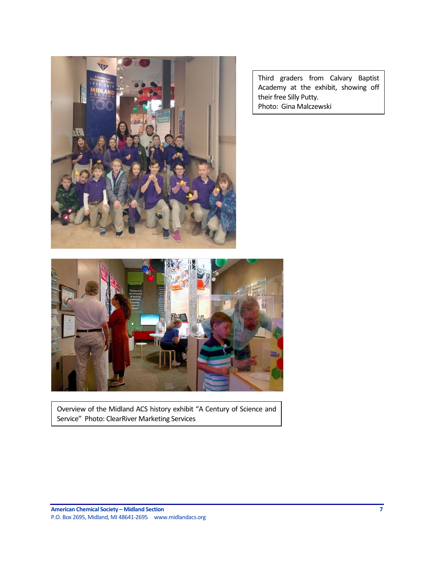

Third graders from Calvary Baptist Academy at the exhibit, showing off their free Silly Putty. Photo: Gina Malczewski



Overview of the Midland ACS history exhibit "A Century of Science and Service" Photo: ClearRiver Marketing Services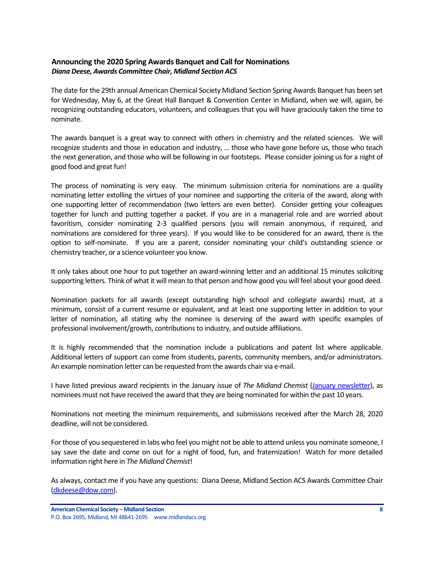# <span id="page-7-0"></span>**Announcing the 2020 Spring Awards Banquet and Call for Nominations** *Diana Deese, Awards Committee Chair, Midland Section ACS*

The date for the 29th annual American Chemical Society Midland Section Spring Awards Banquet has been set for Wednesday, May 6, at the Great Hall Banquet & Convention Center in Midland, when we will, again, be recognizing outstanding educators, volunteers, and colleagues that you will have graciously taken the time to nominate.

The awards banquet is a great way to connect with others in chemistry and the related sciences. We will recognize students and those in education and industry, … those who have gone before us, those who teach the next generation, and those who will be following in our footsteps. Please consider joining us for a night of good food and great fun!

The process of nominating is very easy. The minimum submission criteria for nominations are a quality nominating letter extolling the virtues of your nominee and supporting the criteria of the award, along with one supporting letter of recommendation (two letters are even better). Consider getting your colleagues together for lunch and putting together a packet. If you are in a managerial role and are worried about favoritism, consider nominating 2-3 qualified persons (you will remain anonymous, if required, and nominations are considered for three years). If you would like to be considered for an award, there is the option to self-nominate. If you are a parent, consider nominating your child's outstanding science or chemistry teacher, or a science volunteer you know.

It only takes about one hour to put together an award-winning letter and an additional 15 minutes soliciting supporting letters. Think of what it will mean to that person and how good you will feel about your good deed.

Nomination packets for all awards (except outstanding high school and collegiate awards) must, at a minimum, consist of a current resume or equivalent, and at least one supporting letter in addition to your letter of nomination, all stating why the nominee is deserving of the award with specific examples of professional involvement/growth, contributions to industry, and outside affiliations.

It is highly recommended that the nomination include a publications and patent list where applicable. Additional letters of support can come from students, parents, community members, and/or administrators. An example nomination letter can be requested from the awards chair via e-mail.

I have listed previous award recipients in the January issue of *The Midland Chemist* [\(January newsletter\)](https://secureservercdn.net/184.168.47.225/051.976.myftpupload.com/wp-content/uploads/2020/01/January-2020-Vol.-57-No.-1-Midland-Chemist.pdf), as nominees must not have received the award that they are being nominated for within the past 10 years.

Nominations not meeting the minimum requirements, and submissions received after the March 28, 2020 deadline, will not be considered.

For those of you sequestered in labs who feel you might not be able to attend unless you nominate someone, I say save the date and come on out for a night of food, fun, and fraternization! Watch for more detailed information right here in *The Midland Chemist*!

As always, contact me if you have any questions: Diana Deese, Midland Section ACS Awards Committee Chair [\(dkdeese@dow.com\)](mailto:dkdeese@dow.com).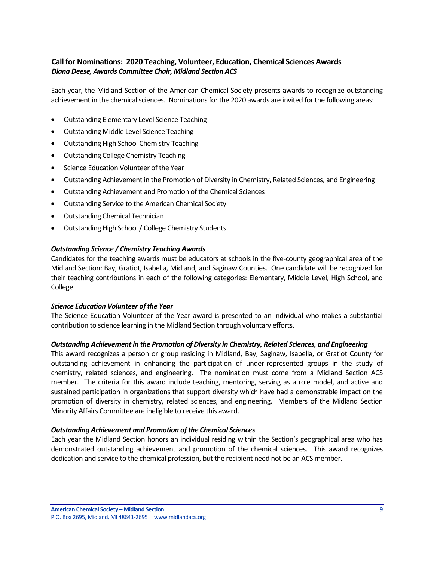# <span id="page-8-0"></span>**Call for Nominations: 2020 Teaching, Volunteer, Education, Chemical Sciences Awards** *Diana Deese, Awards Committee Chair, Midland Section ACS*

Each year, the Midland Section of the American Chemical Society presents awards to recognize outstanding achievement in the chemical sciences. Nominations for the 2020 awards are invited for the following areas:

- Outstanding Elementary Level Science Teaching
- Outstanding Middle Level Science Teaching
- Outstanding High School Chemistry Teaching
- Outstanding College Chemistry Teaching
- Science Education Volunteer of the Year
- Outstanding Achievement in the Promotion of Diversity in Chemistry, Related Sciences, and Engineering
- Outstanding Achievement and Promotion of the Chemical Sciences
- Outstanding Service to the American Chemical Society
- Outstanding Chemical Technician
- Outstanding High School / College Chemistry Students

## *Outstanding Science / Chemistry Teaching Awards*

Candidates for the teaching awards must be educators at schools in the five-county geographical area of the Midland Section: Bay, Gratiot, Isabella, Midland, and Saginaw Counties. One candidate will be recognized for their teaching contributions in each of the following categories: Elementary, Middle Level, High School, and College.

## *Science Education Volunteer of the Year*

The Science Education Volunteer of the Year award is presented to an individual who makes a substantial contribution to science learning in the Midland Section through voluntary efforts.

## *Outstanding Achievement in the Promotion of Diversity in Chemistry, Related Sciences, and Engineering*

This award recognizes a person or group residing in Midland, Bay, Saginaw, Isabella, or Gratiot County for outstanding achievement in enhancing the participation of under-represented groups in the study of chemistry, related sciences, and engineering. The nomination must come from a Midland Section ACS member. The criteria for this award include teaching, mentoring, serving as a role model, and active and sustained participation in organizations that support diversity which have had a demonstrable impact on the promotion of diversity in chemistry, related sciences, and engineering. Members of the Midland Section Minority Affairs Committee are ineligible to receive this award.

## *Outstanding Achievement and Promotion of the Chemical Sciences*

Each year the Midland Section honors an individual residing within the Section's geographical area who has demonstrated outstanding achievement and promotion of the chemical sciences. This award recognizes dedication and service to the chemical profession, but the recipient need not be an ACS member.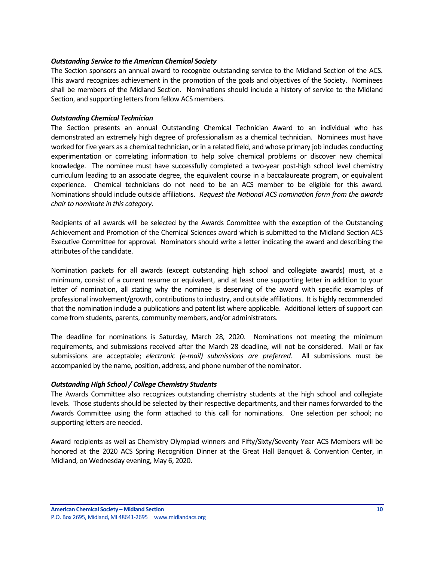#### *Outstanding Service to the American Chemical Society*

The Section sponsors an annual award to recognize outstanding service to the Midland Section of the ACS. This award recognizes achievement in the promotion of the goals and objectives of the Society. Nominees shall be members of the Midland Section. Nominations should include a history of service to the Midland Section, and supporting letters from fellow ACS members.

#### *Outstanding Chemical Technician*

The Section presents an annual Outstanding Chemical Technician Award to an individual who has demonstrated an extremely high degree of professionalism as a chemical technician. Nominees must have worked for five years as a chemical technician, or in a related field, and whose primary job includes conducting experimentation or correlating information to help solve chemical problems or discover new chemical knowledge. The nominee must have successfully completed a two-year post-high school level chemistry curriculum leading to an associate degree, the equivalent course in a baccalaureate program, or equivalent experience. Chemical technicians do not need to be an ACS member to be eligible for this award. Nominations should include outside affiliations. *Request the National ACS nomination form from the awards chair to nominate in this category.*

Recipients of all awards will be selected by the Awards Committee with the exception of the Outstanding Achievement and Promotion of the Chemical Sciences award which is submitted to the Midland Section ACS Executive Committee for approval. Nominators should write a letter indicating the award and describing the attributes of the candidate.

Nomination packets for all awards (except outstanding high school and collegiate awards) must, at a minimum, consist of a current resume or equivalent, and at least one supporting letter in addition to your letter of nomination, all stating why the nominee is deserving of the award with specific examples of professional involvement/growth, contributions to industry, and outside affiliations. It is highly recommended that the nomination include a publications and patent list where applicable. Additional letters of support can come from students, parents, community members, and/or administrators.

The deadline for nominations is Saturday, March 28, 2020. Nominations not meeting the minimum requirements, and submissions received after the March 28 deadline, will not be considered. Mail or fax submissions are acceptable; *electronic (e-mail) submissions are preferred*. All submissions must be accompanied by the name, position, address, and phone number of the nominator.

## *Outstanding High School / College Chemistry Students*

The Awards Committee also recognizes outstanding chemistry students at the high school and collegiate levels. Those students should be selected by their respective departments, and their names forwarded to the Awards Committee using the form attached to this call for nominations. One selection per school; no supporting letters are needed.

Award recipients as well as Chemistry Olympiad winners and Fifty/Sixty/Seventy Year ACS Members will be honored at the 2020 ACS Spring Recognition Dinner at the Great Hall Banquet & Convention Center, in Midland, on Wednesday evening, May 6, 2020.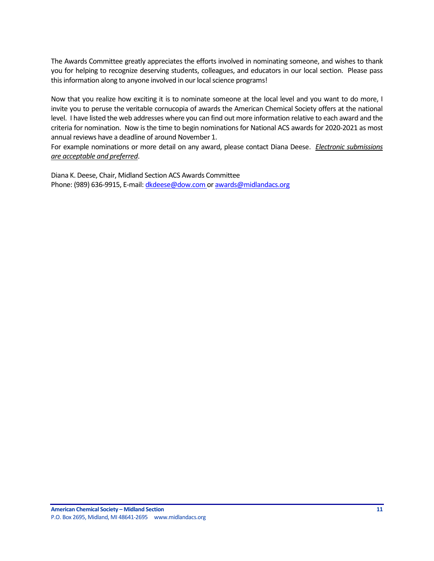The Awards Committee greatly appreciates the efforts involved in nominating someone, and wishes to thank you for helping to recognize deserving students, colleagues, and educators in our local section. Please pass this information along to anyone involved in our local science programs!

Now that you realize how exciting it is to nominate someone at the local level and you want to do more, I invite you to peruse the veritable cornucopia of awards the American Chemical Society offers at the national level. I have listed the web addresses where you can find out more information relative to each award and the criteria for nomination. Now is the time to begin nominations for National ACS awards for 2020-2021 as most annual reviews have a deadline of around November 1.

For example nominations or more detail on any award, please contact Diana Deese. *Electronic submissions are acceptable and preferred*.

Diana K. Deese, Chair, Midland Section ACS Awards Committee Phone: (989) 636-9915, E-mail[: dkdeese@dow.com](mailto:dkdeese@dow.com) o[r awards@midlandacs.org](mailto:awards@midlandacs.org)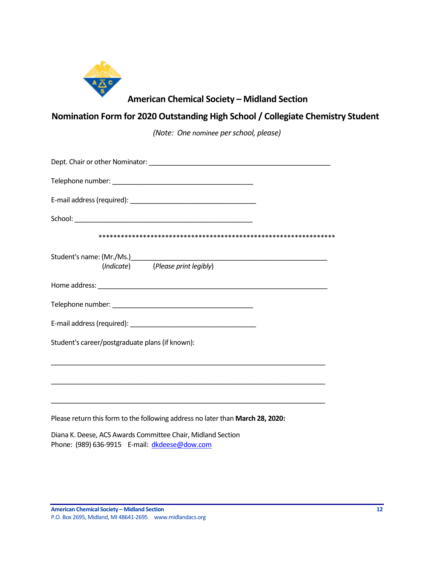

# **American Chemical Society – Midland Section**

# **Nomination Form for 2020 Outstanding High School / Collegiate Chemistry Student**

*(Note: One nominee per school, please)*

| Dept. Chair or other Nominator: National Contract of the Contract of the Contract of the Contract of the Contract of the Contract of the Contract of the Contract of the Contract of the Contract of the Contract of the Contr |
|--------------------------------------------------------------------------------------------------------------------------------------------------------------------------------------------------------------------------------|
|                                                                                                                                                                                                                                |
|                                                                                                                                                                                                                                |
|                                                                                                                                                                                                                                |
|                                                                                                                                                                                                                                |
| (Indicate) (Please print legibly)                                                                                                                                                                                              |
|                                                                                                                                                                                                                                |
|                                                                                                                                                                                                                                |
|                                                                                                                                                                                                                                |
| Student's career/postgraduate plans (if known):                                                                                                                                                                                |
|                                                                                                                                                                                                                                |
|                                                                                                                                                                                                                                |
| Please return this form to the following address no later than March 28, 2020:                                                                                                                                                 |

Diana K. Deese, ACS Awards Committee Chair, Midland Section Phone: (989) 636-9915 E-mail: [dkdeese@dow.com](mailto:dkdeese@dow.com)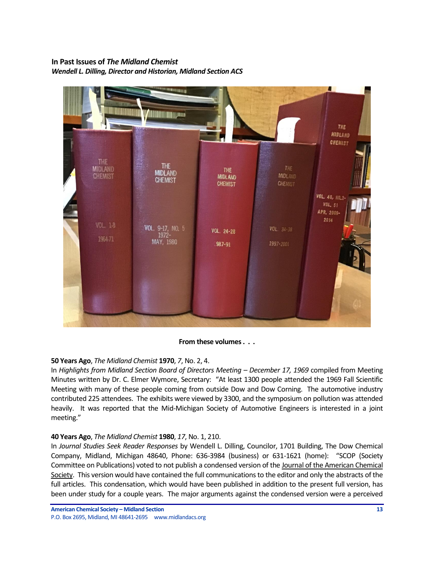# <span id="page-12-0"></span>**In Past Issues of** *The Midland Chemist Wendell L. Dilling, Director and Historian, Midland Section ACS*



## **From these volumes . . .**

# **50 Years Ago**, *The Midland Chemist* **1970**, *7*, No. 2, 4.

In *Highlights from Midland Section Board of Directors Meeting - December 17, 1969 compiled from Meeting* Minutes written by Dr. C. Elmer Wymore, Secretary: "At least 1300 people attended the 1969 Fall Scientific Meeting with many of these people coming from outside Dow and Dow Corning. The automotive industry contributed 225 attendees. The exhibits were viewed by 3300, and the symposium on pollution was attended heavily. It was reported that the Mid-Michigan Society of Automotive Engineers is interested in a joint meeting."

## **40 Years Ago**, *The Midland Chemist* **1980**, *17*, No. 1, 210.

In *Journal Studies Seek Reader Responses* by Wendell L. Dilling, Councilor, 1701 Building, The Dow Chemical Company, Midland, Michigan 48640, Phone: 636-3984 (business) or 631-1621 (home): "SCOP (Society Committee on Publications) voted to not publish a condensed version of the Journal of the American Chemical Society. This version would have contained the full communications to the editor and only the abstracts of the full articles. This condensation, which would have been published in addition to the present full version, has been under study for a couple years. The major arguments against the condensed version were a perceived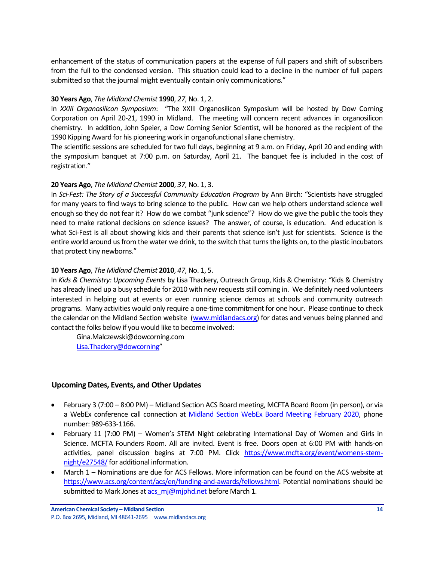enhancement of the status of communication papers at the expense of full papers and shift of subscribers from the full to the condensed version. This situation could lead to a decline in the number of full papers submitted so that the journal might eventually contain only communications."

## **30 Years Ago**, *The Midland Chemist* **1990**, *27*, No. 1, 2.

In *XXIII Organosilicon Symposium*: "The XXIII Organosilicon Symposium will be hosted by Dow Corning Corporation on April 20-21, 1990 in Midland. The meeting will concern recent advances in organosilicon chemistry. In addition, John Speier, a Dow Corning Senior Scientist, will be honored as the recipient of the 1990 Kipping Award for his pioneering work in organofunctional silane chemistry.

The scientific sessions are scheduled for two full days, beginning at 9 a.m. on Friday, April 20 and ending with the symposium banquet at 7:00 p.m. on Saturday, April 21. The banquet fee is included in the cost of registration."

## **20 Years Ago**, *The Midland Chemist* **2000**, *37*, No. 1, 3.

In *Sci-Fest: The Story of a Successful Community Education Program* by Ann Birch: "Scientists have struggled for many years to find ways to bring science to the public. How can we help others understand science well enough so they do not fear it? How do we combat "junk science"? How do we give the public the tools they need to make rational decisions on science issues? The answer, of course, is education. And education is what Sci-Fest is all about showing kids and their parents that science isn't just for scientists. Science is the entire world around us from the water we drink, to the switch that turns the lights on, to the plastic incubators that protect tiny newborns."

## **10 Years Ago**, *The Midland Chemist* **2010**, *47*, No. 1, 5.

In *Kids & Chemistry: Upcoming Events* by Lisa Thackery, Outreach Group, Kids & Chemistry: *"*Kids & Chemistry has already lined up a busy schedule for 2010 with new requests still coming in. We definitely need volunteers interested in helping out at events or even running science demos at schools and community outreach programs. Many activities would only require a one-time commitment for one hour. Please continue to check the calendar on the Midland Section website [\(www.midlandacs.org\)](http://www.midlandacs.org/) for dates and venues being planned and contact the folks below if you would like to become involved:

[Gina.Malczewski@dowcorning.com](mailto:Gina.Malczewski@dowcorning.com) [Lisa.Thackery@dowcorning](mailto:Lisa.Thackery@dowcorning)"

# <span id="page-13-0"></span>**Upcoming Dates, Events, and Other Updates**

- February 3 (7:00 8:00 PM) Midland Section ACS Board meeting, MCFTA Board Room (in person), or via a WebEx conference call connection at [Midland Section WebEx Board Meeting February 2020,](https://dow.webex.com/webappng/sites/dow/meeting/info/147368882886185057?MTID=mf57d629d657a6a0e76e5f37a37a5e099) phone number: 989-633-1166.
- February 11 (7:00 PM) Women's STEM Night celebrating International Day of Women and Girls in Science. MCFTA Founders Room. All are invited. Event is free. Doors open at 6:00 PM with hands-on activities, panel discussion begins at 7:00 PM. Click [https://www.mcfta.org/event/womens-stem](https://www.mcfta.org/event/womens-stem-night/e27548/)[night/e27548/f](https://www.mcfta.org/event/womens-stem-night/e27548/)or additional information.
- March 1 Nominations are due for ACS Fellows. More information can be found on the ACS website at [https://www.acs.org/content/acs/en/funding-and-awards/fellows.html.](https://www.acs.org/content/acs/en/funding-and-awards/fellows.html) Potential nominations should be submitted to Mark Jones at acs mj@mjphd.net before March 1.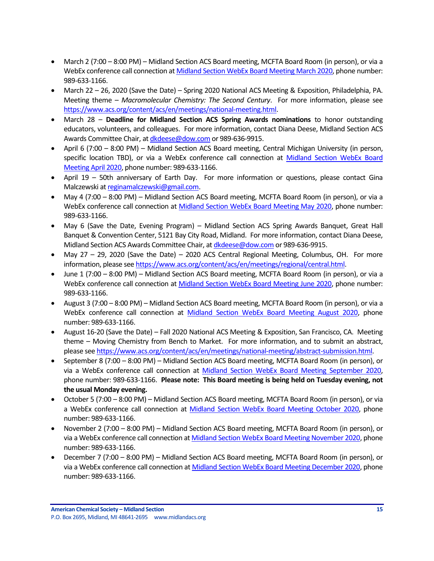- March 2 (7:00 8:00 PM) Midland Section ACS Board meeting, MCFTA Board Room (in person), or via a WebEx conference call connection at [Midland Section WebEx Board Meeting March 2020,](https://dow.webex.com/webappng/sites/dow/meeting/info/147369060224504746?MTID=m78a8d57fb6938a51f77ac48717ac8ec9) phone number: 989-633-1166.
- March 22 26, 2020 (Save the Date) Spring 2020 National ACS Meeting & Exposition, Philadelphia, PA. Meeting theme – *Macromolecular Chemistry: The Second Century*. For more information, please see [https://www.acs.org/content/acs/en/meetings/national-meeting.html.](https://www.acs.org/content/acs/en/meetings/national-meeting.html)
- March 28 **Deadline for Midland Section ACS Spring Awards nominations** to honor outstanding educators, volunteers, and colleagues. For more information, contact Diana Deese, Midland Section ACS Awards Committee Chair, a[t dkdeese@dow.com](mailto:dkdeese@dow.com) or 989-636-9915.
- April 6 (7:00 8:00 PM) Midland Section ACS Board meeting, Central Michigan University (in person, specific location TBD), or via a WebEx conference call connection at Midland Section WebEx Board [Meeting April 2020,](https://dow.webex.com/webappng/sites/dow/meeting/info/147369092218655717?MTID=m4dc31bbe6645d5f7f0f29c969b418891) phone number: 989-633-1166.
- April 19 50th anniversary of Earth Day. For more information or questions, please contact Gina Malczewski at [reginamalczewski@gmail.com.](mailto:reginamalczewski@gmail.com)
- May 4 (7:00 8:00 PM) Midland Section ACS Board meeting, MCFTA Board Room (in person), or via a WebEx conference call connection at [Midland Section WebEx Board Meeting May 2020,](https://dow.webex.com/webappng/sites/dow/meeting/info/147369119023403198?MTID=m97c16758c795093aaa8840be9a9484f3) phone number: 989-633-1166.
- May 6 (Save the Date, Evening Program) Midland Section ACS Spring Awards Banquet, Great Hall Banquet & Convention Center, 5121 Bay City Road, Midland. For more information, contact Diana Deese, Midland Section ACS Awards Committee Chair, a[t dkdeese@dow.com](mailto:dkdeese@dow.com) or 989-636-9915.
- May 27 29, 2020 (Save the Date) 2020 ACS Central Regional Meeting, Columbus, OH. For more information, please se[e https://www.acs.org/content/acs/en/meetings/regional/central.html.](https://www.acs.org/content/acs/en/meetings/regional/central.html)
- June 1 (7:00 8:00 PM) Midland Section ACS Board meeting, MCFTA Board Room (in person), or via a WebEx conference call connection at [Midland Section WebEx Board Meeting June 2020,](https://dow.webex.com/webappng/sites/dow/meeting/info/147369764857090207?MTID=m6d5b883f8b8a0cccbb56f34737466537) phone number: 989-633-1166.
- August 3 (7:00 8:00 PM) Midland Section ACS Board meeting, MCFTA Board Room (in person), or via a WebEx conference call connection at [Midland Section WebEx Board Meeting August 2020,](https://dow.webex.com/webappng/sites/dow/meeting/info/147369865088373225?MTID=m9e575e5b99b945a631d5e929d4c9b94e) phone number: 989-633-1166.
- August 16-20 (Save the Date) Fall 2020 National ACS Meeting & Exposition, San Francisco, CA. Meeting theme – Moving Chemistry from Bench to Market. For more information, and to submit an abstract, please se[e https://www.acs.org/content/acs/en/meetings/national-meeting/abstract-submission.html.](https://www.acs.org/content/acs/en/meetings/national-meeting/abstract-submission.html)
- September 8 (7:00 8:00 PM) Midland Section ACS Board meeting, MCFTA Board Room (in person), or via a WebEx conference call connection at [Midland Section WebEx Board Meeting September](https://dow.webex.com/webappng/sites/dow/meeting/info/147369910636417826?MTID=m8efde4d24b3170a04b675077a31db6ff) 2020, phone number: 989-633-1166. **Please note: This Board meeting is being held on Tuesday evening, not the usual Monday evening.**
- October 5 (7:00 8:00 PM) Midland Section ACS Board meeting, MCFTA Board Room (in person), or via a WebEx conference call connection at [Midland Section WebEx Board Meeting October](https://dow.webex.com/webappng/sites/dow/meeting/info/147369963561194403?MTID=m4433e125aba5a6c26b6e32d347ffc7bf) 2020, phone number: 989-633-1166.
- November 2 (7:00 8:00 PM) Midland Section ACS Board meeting, MCFTA Board Room (in person), or via a WebEx conference call connection a[t Midland Section WebEx Board Meeting November](https://dow.webex.com/webappng/sites/dow/meeting/info/147370014930932607?MTID=me1a04d08b255f6ca75034382b9c32601) 2020, phone number: 989-633-1166.
- December 7 (7:00 8:00 PM) Midland Section ACS Board meeting, MCFTA Board Room (in person), or via a WebEx conference call connection at [Midland Section WebEx Board Meeting December](https://dow.webex.com/webappng/sites/dow/meeting/info/147370068640043188?MTID=m2ecd52d22a6ec33abe1a2ba613bc7492) 2020, phone number: 989-633-1166.